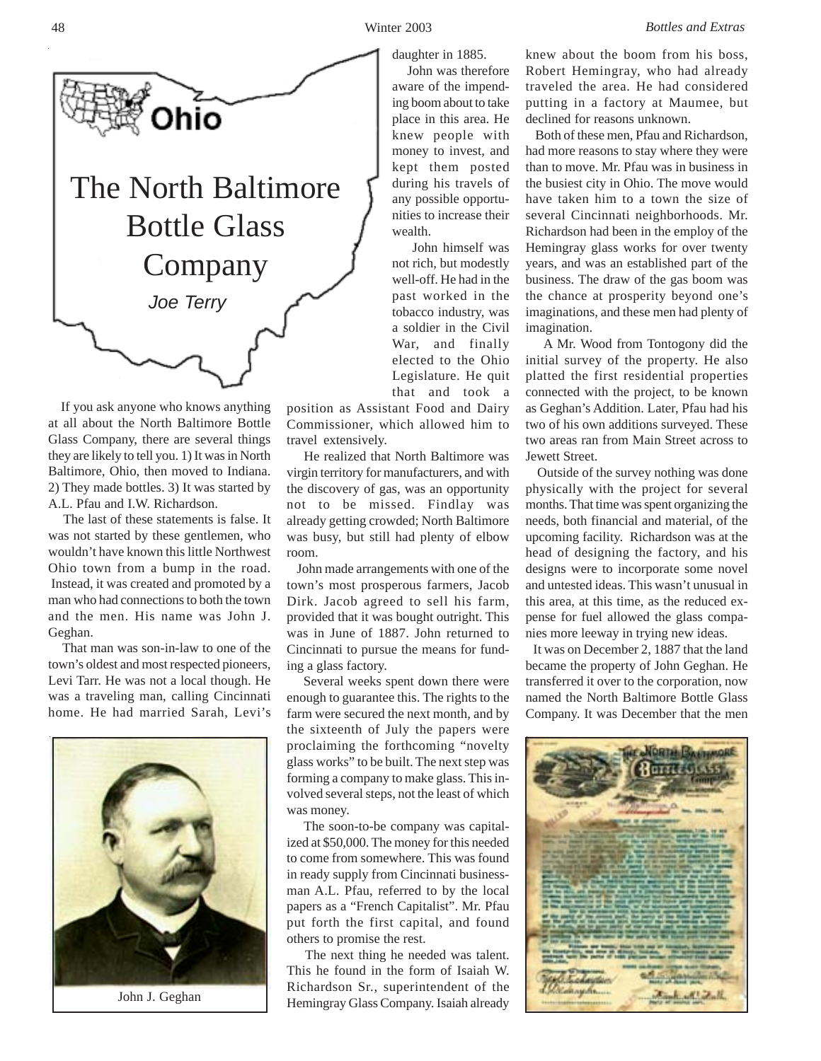

 If you ask anyone who knows anything at all about the North Baltimore Bottle Glass Company, there are several things they are likely to tell you. 1) It was in North Baltimore, Ohio, then moved to Indiana. 2) They made bottles. 3) It was started by A.L. Pfau and I.W. Richardson.

 The last of these statements is false. It was not started by these gentlemen, who wouldn't have known this little Northwest Ohio town from a bump in the road. Instead, it was created and promoted by a man who had connections to both the town and the men. His name was John J. Geghan.

 That man was son-in-law to one of the town's oldest and most respected pioneers, Levi Tarr. He was not a local though. He was a traveling man, calling Cincinnati home. He had married Sarah, Levi's



John J. Geghan

daughter in 1885. John was therefore aware of the impending boom about to take place in this area. He knew people with money to invest, and kept them posted during his travels of any possible opportunities to increase their wealth.

 John himself was not rich, but modestly well-off. He had in the past worked in the tobacco industry, was a soldier in the Civil War, and finally elected to the Ohio Legislature. He quit that and took a

position as Assistant Food and Dairy Commissioner, which allowed him to travel extensively.

 He realized that North Baltimore was virgin territory for manufacturers, and with the discovery of gas, was an opportunity not to be missed. Findlay was already getting crowded; North Baltimore was busy, but still had plenty of elbow room.

 John made arrangements with one of the town's most prosperous farmers, Jacob Dirk. Jacob agreed to sell his farm, provided that it was bought outright. This was in June of 1887. John returned to Cincinnati to pursue the means for funding a glass factory.

 Several weeks spent down there were enough to guarantee this. The rights to the farm were secured the next month, and by the sixteenth of July the papers were proclaiming the forthcoming "novelty glass works" to be built. The next step was forming a company to make glass. This involved several steps, not the least of which was money.

 The soon-to-be company was capitalized at \$50,000. The money for this needed to come from somewhere. This was found in ready supply from Cincinnati businessman A.L. Pfau, referred to by the local papers as a "French Capitalist". Mr. Pfau put forth the first capital, and found others to promise the rest.

 The next thing he needed was talent. This he found in the form of Isaiah W. Richardson Sr., superintendent of the Hemingray Glass Company. Isaiah already knew about the boom from his boss, Robert Hemingray, who had already traveled the area. He had considered putting in a factory at Maumee, but declined for reasons unknown.

 Both of these men, Pfau and Richardson, had more reasons to stay where they were than to move. Mr. Pfau was in business in the busiest city in Ohio. The move would have taken him to a town the size of several Cincinnati neighborhoods. Mr. Richardson had been in the employ of the Hemingray glass works for over twenty years, and was an established part of the business. The draw of the gas boom was the chance at prosperity beyond one's imaginations, and these men had plenty of imagination.

 A Mr. Wood from Tontogony did the initial survey of the property. He also platted the first residential properties connected with the project, to be known as Geghan's Addition. Later, Pfau had his two of his own additions surveyed. These two areas ran from Main Street across to Jewett Street.

 Outside of the survey nothing was done physically with the project for several months. That time was spent organizing the needs, both financial and material, of the upcoming facility. Richardson was at the head of designing the factory, and his designs were to incorporate some novel and untested ideas. This wasn't unusual in this area, at this time, as the reduced expense for fuel allowed the glass companies more leeway in trying new ideas.

 It was on December 2, 1887 that the land became the property of John Geghan. He transferred it over to the corporation, now named the North Baltimore Bottle Glass Company. It was December that the men

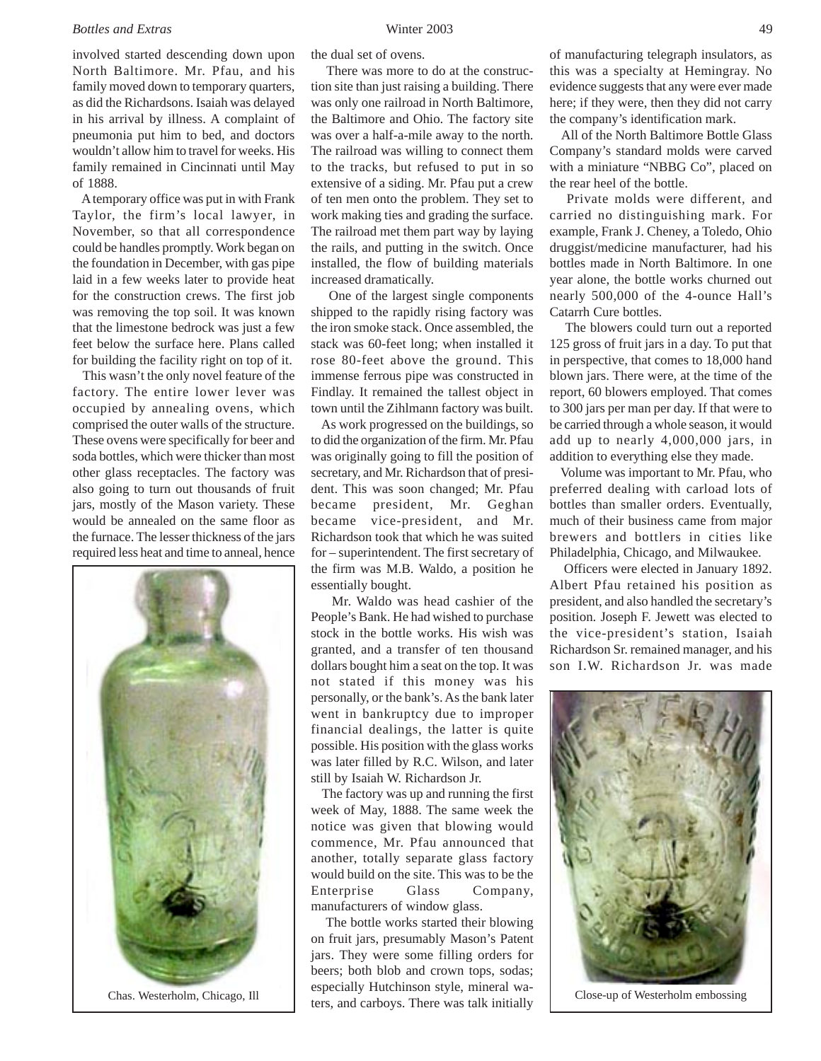## *Bottles and Extras* Winter 2003

involved started descending down upon North Baltimore. Mr. Pfau, and his family moved down to temporary quarters, as did the Richardsons. Isaiah was delayed in his arrival by illness. A complaint of pneumonia put him to bed, and doctors wouldn't allow him to travel for weeks. His family remained in Cincinnati until May of 1888.

 A temporary office was put in with Frank Taylor, the firm's local lawyer, in November, so that all correspondence could be handles promptly. Work began on the foundation in December, with gas pipe laid in a few weeks later to provide heat for the construction crews. The first job was removing the top soil. It was known that the limestone bedrock was just a few feet below the surface here. Plans called for building the facility right on top of it.

 This wasn't the only novel feature of the factory. The entire lower lever was occupied by annealing ovens, which comprised the outer walls of the structure. These ovens were specifically for beer and soda bottles, which were thicker than most other glass receptacles. The factory was also going to turn out thousands of fruit jars, mostly of the Mason variety. These would be annealed on the same floor as the furnace. The lesser thickness of the jars required less heat and time to anneal, hence



the dual set of ovens.

 There was more to do at the construction site than just raising a building. There was only one railroad in North Baltimore, the Baltimore and Ohio. The factory site was over a half-a-mile away to the north. The railroad was willing to connect them to the tracks, but refused to put in so extensive of a siding. Mr. Pfau put a crew of ten men onto the problem. They set to work making ties and grading the surface. The railroad met them part way by laying the rails, and putting in the switch. Once installed, the flow of building materials increased dramatically.

 One of the largest single components shipped to the rapidly rising factory was the iron smoke stack. Once assembled, the stack was 60-feet long; when installed it rose 80-feet above the ground. This immense ferrous pipe was constructed in Findlay. It remained the tallest object in town until the Zihlmann factory was built.

 As work progressed on the buildings, so to did the organization of the firm. Mr. Pfau was originally going to fill the position of secretary, and Mr. Richardson that of president. This was soon changed; Mr. Pfau became president, Mr. Geghan became vice-president, and Mr. Richardson took that which he was suited for – superintendent. The first secretary of the firm was M.B. Waldo, a position he essentially bought.

 Mr. Waldo was head cashier of the People's Bank. He had wished to purchase stock in the bottle works. His wish was granted, and a transfer of ten thousand dollars bought him a seat on the top. It was not stated if this money was his personally, or the bank's. As the bank later went in bankruptcy due to improper financial dealings, the latter is quite possible. His position with the glass works was later filled by R.C. Wilson, and later still by Isaiah W. Richardson Jr.

 The factory was up and running the first week of May, 1888. The same week the notice was given that blowing would commence, Mr. Pfau announced that another, totally separate glass factory would build on the site. This was to be the Enterprise Glass Company, manufacturers of window glass.

 The bottle works started their blowing on fruit jars, presumably Mason's Patent jars. They were some filling orders for beers; both blob and crown tops, sodas; especially Hutchinson style, mineral waters, and carboys. There was talk initially Chas. Westerholm, Chicago, Ill Close-up of Westerholm embossing

of manufacturing telegraph insulators, as this was a specialty at Hemingray. No evidence suggests that any were ever made here; if they were, then they did not carry the company's identification mark.

 All of the North Baltimore Bottle Glass Company's standard molds were carved with a miniature "NBBG Co", placed on the rear heel of the bottle.

 Private molds were different, and carried no distinguishing mark. For example, Frank J. Cheney, a Toledo, Ohio druggist/medicine manufacturer, had his bottles made in North Baltimore. In one year alone, the bottle works churned out nearly 500,000 of the 4-ounce Hall's Catarrh Cure bottles.

 The blowers could turn out a reported 125 gross of fruit jars in a day. To put that in perspective, that comes to 18,000 hand blown jars. There were, at the time of the report, 60 blowers employed. That comes to 300 jars per man per day. If that were to be carried through a whole season, it would add up to nearly 4,000,000 jars, in addition to everything else they made.

 Volume was important to Mr. Pfau, who preferred dealing with carload lots of bottles than smaller orders. Eventually, much of their business came from major brewers and bottlers in cities like Philadelphia, Chicago, and Milwaukee.

 Officers were elected in January 1892. Albert Pfau retained his position as president, and also handled the secretary's position. Joseph F. Jewett was elected to the vice-president's station, Isaiah Richardson Sr. remained manager, and his son I.W. Richardson Jr. was made